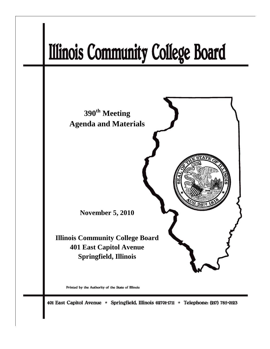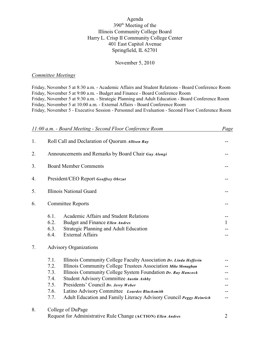#### Agenda 390<sup>th</sup> Meeting of the Illinois Community College Board Harry L. Crisp II Community College Center 401 East Capitol Avenue Springfield, IL 62701

#### November 5, 2010

#### *Committee Meetings*

Friday, November 5 at 8:30 a.m. - Academic Affairs and Student Relations - Board Conference Room Friday, November 5 at 9:00 a.m. - Budget and Finance - Board Conference Room Friday, November 5 at 9:30 a.m. - Strategic Planning and Adult Education - Board Conference Room Friday, November 5 at 10:00 a.m. - External Affairs - Board Conference Room Friday, November 5 - Executive Session - Personnel and Evaluation - Second Floor Conference Room

| 11:00 a.m. - Board Meeting - Second Floor Conference Room |                                                              |                                                                     | Page |
|-----------------------------------------------------------|--------------------------------------------------------------|---------------------------------------------------------------------|------|
| 1.                                                        | Roll Call and Declaration of Quorum Allison Ray              |                                                                     |      |
| 2.                                                        | Announcements and Remarks by Board Chair Guy Alongi          |                                                                     |      |
| 3.                                                        | <b>Board Member Comments</b>                                 |                                                                     |      |
| 4.                                                        | President/CEO Report Geoffrey Obrzut                         |                                                                     |      |
| 5.                                                        |                                                              | <b>Illinois National Guard</b>                                      |      |
| 6.                                                        | <b>Committee Reports</b>                                     |                                                                     |      |
|                                                           | 6.1.                                                         | Academic Affairs and Student Relations                              |      |
|                                                           | 6.2.                                                         | Budget and Finance Ellen Andres                                     | 1    |
|                                                           | 6.3.                                                         | <b>Strategic Planning and Adult Education</b>                       |      |
|                                                           | 6.4.                                                         | <b>External Affairs</b>                                             |      |
| 7.                                                        | <b>Advisory Organizations</b>                                |                                                                     |      |
|                                                           | 7.1.                                                         | Illinois Community College Faculty Association Dr. Linda Hefferin   |      |
|                                                           | 7.2.                                                         | Illinois Community College Trustees Association Mike Monaghan       |      |
|                                                           | 7.3.                                                         | Illinois Community College System Foundation Dr. Ray Hancock        |      |
|                                                           | 7.4.                                                         | <b>Student Advisory Committee Austin Ashby</b>                      |      |
|                                                           | 7.5.                                                         | Presidents' Council Dr. Jerry Weber                                 |      |
|                                                           | 7.6.                                                         | Latino Advisory Committee Lourdes Blacksmith                        |      |
|                                                           | 7.7.                                                         | Adult Education and Family Literacy Advisory Council Peggy Heinrich |      |
| 8.                                                        | College of DuPage                                            |                                                                     |      |
|                                                           | Request for Administrative Rule Change (ACTION) Ellen Andres |                                                                     |      |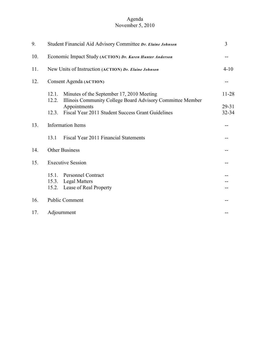#### Agenda November 5, 2010

| 9.  | Student Financial Aid Advisory Committee Dr. Elaine Johnson                                                               |           |  |
|-----|---------------------------------------------------------------------------------------------------------------------------|-----------|--|
| 10. | Economic Impact Study (ACTION) Dr. Karen Hunter Anderson                                                                  |           |  |
| 11. | New Units of Instruction (ACTION) Dr. Elaine Johnson                                                                      |           |  |
| 12. | Consent Agenda (ACTION)                                                                                                   |           |  |
|     | Minutes of the September 17, 2010 Meeting<br>12.1.<br>Illinois Community College Board Advisory Committee Member<br>12.2. | $11 - 28$ |  |
|     | Appointments                                                                                                              | 29-31     |  |
|     | Fiscal Year 2011 Student Success Grant Guidelines<br>12.3.                                                                | 32-34     |  |
| 13. | Information Items<br>Fiscal Year 2011 Financial Statements<br>13.1                                                        |           |  |
| 14. | <b>Other Business</b>                                                                                                     |           |  |
| 15. | <b>Executive Session</b>                                                                                                  |           |  |
|     | <b>Personnel Contract</b><br>15.1.                                                                                        |           |  |
|     | <b>Legal Matters</b><br>15.3.                                                                                             |           |  |
|     | 15.2.<br>Lease of Real Property                                                                                           |           |  |
| 16. | <b>Public Comment</b>                                                                                                     |           |  |
| 17. | Adjournment                                                                                                               |           |  |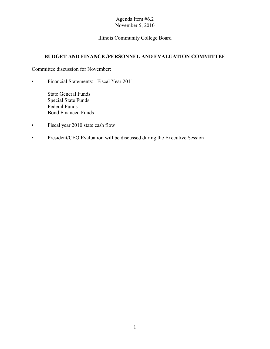# Illinois Community College Board

# **BUDGET AND FINANCE /PERSONNEL AND EVALUATION COMMITTEE**

Committee discussion for November:

• Financial Statements: Fiscal Year 2011

State General Funds Special State Funds Federal Funds Bond Financed Funds

- Fiscal year 2010 state cash flow
- President/CEO Evaluation will be discussed during the Executive Session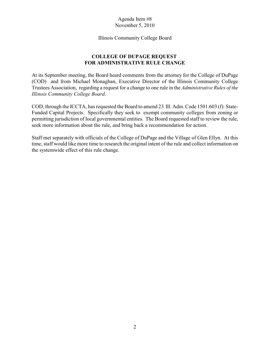Illinois Community College Board

# **COLLEGE OF DUPAGE REQUEST FOR ADMINISTRATIVE RULE CHANGE**

At its September meeting, the Board heard comments from the attorney for the College of DuPage (COD) and from Michael Monaghan, Executive Director of the Illinois Community College Trustees Association, regarding a request for a change to one rule in the *Administrative Rules of the Illinois Community College Board*.

COD, through the ICCTA, has requested the Board to amend 23 Ill. Adm. Code 1501.603 (f): State-Funded Capital Projects. Specifically they seek to exempt community colleges from zoning or permitting jurisdiction of local governmental entities. The Board requested staff to review the rule, seek more information about the rule, and bring back a recommendation for action.

Staff met separately with officials of the College of DuPage and the Village of Glen Ellyn. At this time, staff would like more time to research the original intent of the rule and collect information on the systemwide effect of this rule change.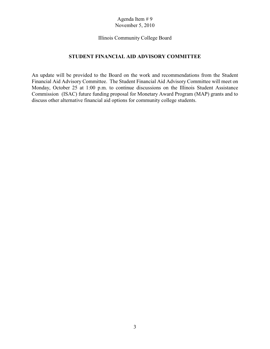#### Illinois Community College Board

#### **STUDENT FINANCIAL AID ADVISORY COMMITTEE**

An update will be provided to the Board on the work and recommendations from the Student Financial Aid Advisory Committee. The Student Financial Aid Advisory Committee will meet on Monday, October 25 at 1:00 p.m. to continue discussions on the Illinois Student Assistance Commission (ISAC) future funding proposal for Monetary Award Program (MAP) grants and to discuss other alternative financial aid options for community college students.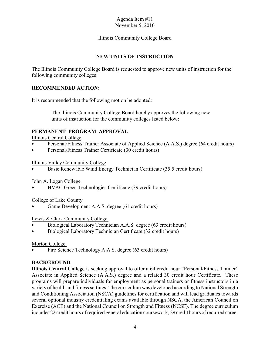## Illinois Community College Board

# **NEW UNITS OF INSTRUCTION**

The Illinois Community College Board is requested to approve new units of instruction for the following community colleges:

## **RECOMMENDED ACTION:**

It is recommended that the following motion be adopted:

 The Illinois Community College Board hereby approves the following new units of instruction for the community colleges listed below:

## **PERMANENT PROGRAM APPROVAL**

Illinois Central College

- Personal/Fitness Trainer Associate of Applied Science (A.A.S.) degree (64 credit hours)
- Personal/Fitness Trainer Certificate (30 credit hours)

#### Illinois Valley Community College

Basic Renewable Wind Energy Technician Certificate (35.5 credit hours)

## John A. Logan College

< HVAC Green Technologies Certificate (39 credit hours)

## College of Lake County

Game Development A.A.S. degree (61 credit hours)

## Lewis & Clark Community College

- < Biological Laboratory Technician A.A.S. degree (63 credit hours)
- $\triangleright$  Biological Laboratory Technician Certificate (32 credit hours)

## Morton College

Fire Science Technology A.A.S. degree (63 credit hours)

## **BACKGROUND**

**Illinois Central College** is seeking approval to offer a 64 credit hour "Personal/Fitness Trainer" Associate in Applied Science (A.A.S.) degree and a related 30 credit hour Certificate. These programs will prepare individuals for employment as personal trainers or fitness instructors in a variety of health and fitness settings. The curriculum was developed according to National Strength and Conditioning Association (NSCA) guidelines for certification and will lead graduates towards several optional industry credentialing exams available through NSCA, the American Council on Exercise (ACE) and the National Council on Strength and Fitness (NCSF). The degree curriculum includes 22 credit hours of required general education coursework, 29 credit hours of required career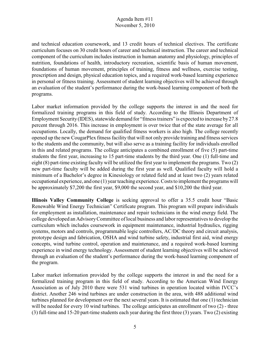and technical education coursework, and 13 credit hours of technical electives. The certificate curriculum focuses on 30 credit hours of career and technical instruction. The career and technical component of the curriculum includes instruction in human anatomy and physiology, principles of nutrition, foundations of health, introductory recreation, scientific basis of human movement, foundations of human movement, principles of training, fitness and wellness, exercise testing, prescription and design, physical education topics, and a required work-based learning experience in personal or fitness training. Assessment of student learning objectives will be achieved through an evaluation of the student's performance during the work-based learning component of both the programs.

Labor market information provided by the college supports the interest in and the need for formalized training programs in this field of study. According to the Illinois Department of Employment Security (IDES), statewide demand for "fitness trainers" is expected to increase by 27.8 percent through 2016. This increase in employment is over twice that of the state average for all occupations. Locally, the demand for qualified fitness workers is also high. The college recently opened up the new CougarPlex fitness facility that will not only provide training and fitness services to the students and the community, but will also serve as a training facility for individuals enrolled in this and related programs. The college anticipates a combined enrollment of five (5) part-time students the first year, increasing to 15 part-time students by the third year. One (1) full-time and eight (8) part-time existing faculty will be utilized the first year to implement the programs. Two (2) new part-time faculty will be added during the first year as well. Qualified faculty will hold a minimum of a Bachelor's degree in Kinesiology or related field and at least two (2) years related occupational experience, and one (1) year teaching experience. Costs to implement the programs will be approximately \$7,200 the first year, \$9,000 the second year, and \$10,200 the third year.

**Illinois Valley Community College** is seeking approval to offer a 35.5 credit hour "Basic Renewable Wind Energy Technician" Certificate program. This program will prepare individuals for employment as installation, maintenance and repair technicians in the wind energy field. The college developed an AdvisoryCommittee of local business and labor representatives to develop the curriculum which includes coursework in equipment maintenance, industrial hydraulics, rigging systems, motors and controls, programmable logic controllers, AC/DC theory and circuit analysis, prototype design and fabrication, OSHA and wind turbine safety, industrial first aid, wind energy concepts, wind turbine control, operation and maintenance, and a required work-based learning experience in wind energy technology. Assessment of student learning objectives will be achieved through an evaluation of the student's performance during the work-based learning component of the program.

Labor market information provided by the college supports the interest in and the need for a formalized training program in this field of study. According to the American Wind Energy Association as of July 2010 there were 531 wind turbines in operation located within IVCC's district. Another 246 wind turbines are under construction in the area, with 488 additional wind turbines planned for development over the next several years. It is estimated that one (1) technician will be needed for every 10 wind turbines. The college anticipates an enrollment of two  $(2)$  - three (3) full-time and 15-20 part-time students each year during the first three (3) years. Two (2) existing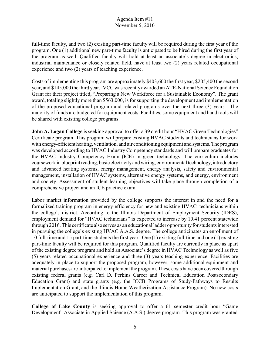full-time faculty, and two (2) existing part-time faculty will be required during the first year of the program. One (1) additional new part-time faculty is anticipated to be hired during the first year of the program as well. Qualified faculty will hold at least an associate's degree in electronics, industrial maintenance or closely related field, have at least two (2) years related occupational experience and two (2) years of teaching experience.

Costs of implementing this program are approximately \$403,600 the first year, \$205,400 the second year, and \$145,000 the third year. IVCC was recently awarded an ATE-National Science Foundation Grant for their project titled, "Preparing a New Workforce for a Sustainable Economy". The grant award, totaling slightly more than \$563,000, is for supporting the development and implementation of the proposed educational program and related programs over the next three (3) years. The majority of funds are budgeted for equipment costs. Facilities, some equipment and hand tools will be shared with existing college programs.

**John A. Logan College** is seeking approval to offer a 39 credit hour "HVAC Green Technologies" Certificate program. This program will prepare existing HVAC students and technicians for work with energy-efficient heating, ventilation, and air conditioning equipment and systems. The program was developed according to HVAC Industry Competency standards and will prepare graduates for the HVAC Industry Competency Exam (ICE) in green technology. The curriculum includes coursework in blueprint reading, basic electricity and wiring, environmental technology, introductory and advanced heating systems, energy management, energy analysis, safety and environmental management, installation of HVAC systems, alternative energy systems, and energy, environment and society. Assessment of student learning objectives will take place through completion of a comprehensive project and an ICE practice exam.

Labor market information provided by the college supports the interest in and the need for a formalized training program in energy-efficiency for new and existing HVAC technicians within the college's district. According to the Illinois Department of Employment Security (IDES), employment demand for "HVAC technicians" is expected to increase by 10.41 percent statewide through 2016. This certificate also serves as an educational ladder opportunity for students interested in pursuing the college's existing HVAC A.A.S. degree. The college anticipates an enrollment of 10 full-time and 15 part-time students the first year. One (1) existing full-time and one (1) existing part-time faculty will be required for this program. Qualified faculty are currently in place as apart of the existing degree program and hold an Associate's degree in HVAC Technology as well as five (5) years related occupational experience and three (3) years teaching experience. Facilities are adequately in place to support the proposed program, however, some additional equipment and material purchases are anticipated to implement the program. These costs have been covered through existing federal grants (e.g. Carl D. Perkins Career and Technical Education Postsecondary Education Grant) and state grants (e.g. the ICCB Programs of Study-Pathways to Results Implementation Grant, and the Illinois Home Weatherization Assistance Program). No new costs are anticipated to support the implementation of this program.

**College of Lake County** is seeking approval to offer a 61 semester credit hour "Game Development" Associate in Applied Science (A.A.S.) degree program. This program was granted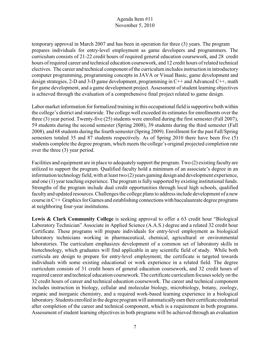temporary approval in March 2007 and has been in operation for three (3) years. The program prepares individuals for entry-level employment as game developers and programmers. The curriculum consists of 21-22 credit hours of required general education coursework, and 28 credit hours of required career and technical education coursework, and 12 credit hours of related technical electives. The career and technical component of the curriculum includes instruction in introductory computer programming, programming concepts in JAVA or Visual Basic, game development and design strategies, 2-D and 3-D game development, programming in C++ and Advanced C++, math for game development, and a game development project. Assessment of student learning objectives is achieved through the evaluation of a comprehensive final project related to game design.

Labor market information for formalized training in this occupational field is supportive both within the college's district and statewide. The college well exceeded its estimates for enrollments over the three (3) year period. Twenty-five (25) students were enrolled during the first semester (Fall 2007), 59 students during the second semester (Spring 2008), 39 students during the third semester (Fall 2008), and 68 students during the fourth semester (Spring 2009). Enrollment for the past Fall/Spring semesters totaled 35 and 87 students respectively. As of Spring 2010 there have been five (5) students complete the degree program, which meets the college's original projected completion rate over the three (3) year period.

Facilities and equipment are in place to adequately support the program. Two (2) existing faculty are utilized to support the program. Qualified faculty hold a minimum of an associate's degree in an information technology field, with at least two (2) years gaming design and development experience, and one (1) year teaching experience. The program is fully supported by existing institutional funds. Strengths of the program include dual credit opportunities through local high schools, qualified facultyand updated resources. Challenges the college plans to address include development of a new course in C++ Graphics for Games and establishing connections with baccalaureate degree programs at neighboring four-year institutions.

**Lewis & Clark Community College** is seeking approval to offer a 63 credit hour "Biological Laboratory Technician" Associate in Applied Science (A.A.S.) degree and a related 32 credit hour Certificate. These programs will prepare individuals for entry-level employment as biological laboratory technicians working in pharmaceutical, chemical, agricultural or environmental laboratories. The curriculum emphasizes development of a common set of laboratory skills in biotechnology, which graduates will find applicable in any scientific field of study. While both curricula are design to prepare for entry-level employment, the certificate is targeted towards individuals with some existing educational or work experience in a related field. The degree curriculum consists of 31 credit hours of general education coursework, and 32 credit hours of required career and technical education coursework. The certificate curriculum focuses solely on the 32 credit hours of career and technical education coursework. The career and technical component includes instruction in biology, cellular and molecular biology, microbiology, botany, zoology, organic and inorganic chemistry, and a required work-based learning experience in a biological laboratory. Students enrolled in the degree program will automatically earn their certificate credential after completion of the career and technical component, which is a requirement in both programs. Assessment of student learning objectives in both programs will be achieved through an evaluation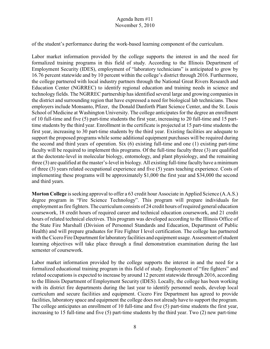of the student's performance during the work-based learning component of the curriculum.

Labor market information provided by the college supports the interest in and the need for formalized training programs in this field of study. According to the Illinois Department of Employment Security (IDES), employment of "laboratory technicians" is anticipated to grow by 16.76 percent statewide and by 10 percent within the college's district through 2016. Furthermore, the college partnered with local industry partners through the National Great Rivers Research and Education Center (NGRREC) to identify regional education and training needs in science and technology fields. The NGRREC partnership has identified several large and growing companies in the district and surrounding region that have expressed a need for biological lab technicians. These employers include Monsanto, Pfizer, the Donald Danforth Plant Science Center, and the St. Louis School of Medicine at Washington University. The college anticipates for the degree an enrollment of 10 full-time and five (5) part-time students the first year, increasing to 20 full-time and 15 parttime students by the third year. Enrollment in the certificate is projected at 15 part-time students the first year, increasing to 30 part-time students by the third year. Existing facilities are adequate to support the proposed programs while some additional equipment purchases will be required during the second and third years of operation. Six (6) existing full-time and one (1) existing part-time faculty will be required to implement this programs. Of the full-time faculty three (3) are qualified at the doctorate-level in molecular biology, entomology, and plant physiology, and the remaining three (3) are qualified at the master's-level in biology. All existing full-time faculty have a minimum of three (3) years related occupational experience and five (5) years teaching experience. Costs of implementing these programs will be approximately \$1,000 the first year and \$34,000 the second and third years.

**Morton College** is seeking approval to offer a 63 credit hour Associate in Applied Science (A.A.S.) degree program in "Fire Science Technology". This program will prepare individuals for employment as fire fighters. The curriculum consists of 24 credit hours of required general education coursework, 18 credit hours of required career and technical education coursework, and 21 credit hours of related technical electives. This program was developed according to the Illinois Office of the State Fire Marshall (Division of Personnel Standards and Education, Department of Public Health) and will prepare graduates for Fire Fighter I level certification. The college has partnered with the Cicero Fire Department for laboratory facilities and equipment usage. Assessment of student learning objectives will take place through a final demonstration examination during the last semester of coursework.

Labor market information provided by the college supports the interest in and the need for a formalized educational training program in this field of study. Employment of "fire fighters" and related occupations is expected to increase by around 12 percent statewide through 2016, according to the Illinois Department of Employment Security (IDES). Locally, the college has been working with its district fire departments during the last year to identify personnel needs, develop local curriculum and secure facilities and equipment. Cicero Fire Department has agreed to provide facilities, laboratory space and equipment the college does not already have to support the program. The college anticipates an enrollment of 10 full-time and five (5) part-time students the first year, increasing to 15 full-time and five (5) part-time students by the third year. Two (2) new part-time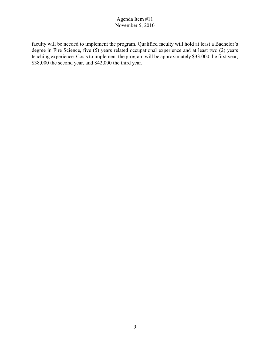faculty will be needed to implement the program. Qualified faculty will hold at least a Bachelor's degree in Fire Science, five (5) years related occupational experience and at least two (2) years teaching experience. Costs to implement the program will be approximately \$33,000 the first year, \$38,000 the second year, and \$42,000 the third year.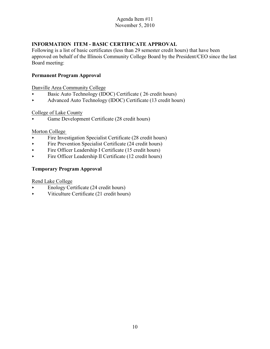# **INFORMATION ITEM - BASIC CERTIFICATE APPROVAL**

Following is a list of basic certificates (less than 29 semester credit hours) that have been approved on behalf of the Illinois Community College Board by the President/CEO since the last Board meeting:

#### **Permanent Program Approval**

Danville Area Community College

- Basic Auto Technology (IDOC) Certificate (26 credit hours)
- Advanced Auto Technology (IDOC) Certificate (13 credit hours)

## College of Lake County

< Game Development Certificate (28 credit hours)

#### Morton College

- $\blacktriangleright$  Fire Investigation Specialist Certificate (28 credit hours)
- $\blacktriangleright$  Fire Prevention Specialist Certificate (24 credit hours)
- $\blacktriangleright$  Fire Officer Leadership I Certificate (15 credit hours)
- $\blacktriangleright$  Fire Officer Leadership II Certificate (12 credit hours)

# **Temporary Program Approval**

Rend Lake College

- < Enology Certificate (24 credit hours)
- $\blacktriangleright$  Viticulture Certificate (21 credit hours)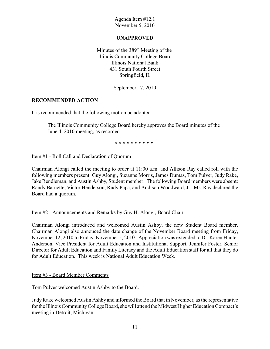## **UNAPPROVED**

Minutes of the  $389<sup>th</sup>$  Meeting of the Illinois Community College Board Illinois National Bank 431 South Fourth Street Springfield, IL

September 17, 2010

## **RECOMMENDED ACTION**

It is recommended that the following motion be adopted:

The Illinois Community College Board hereby approves the Board minutes of the June 4, 2010 meeting, as recorded.

\* \* \* \* \* \* \* \* \* \*

## Item #1 - Roll Call and Declaration of Quorum

Chairman Alongi called the meeting to order at 11:00 a.m. and Allison Ray called roll with the following members present: Guy Alongi, Suzanne Morris, James Dumas, Tom Pulver, Judy Rake, Jake Rendleman, and Austin Ashby, Student member. The following Board members were absent: Randy Barnette, Victor Henderson, Rudy Papa, and Addison Woodward, Jr. Ms. Ray declared the Board had a quorum.

## Item #2 - Announcements and Remarks by Guy H. Alongi, Board Chair

Chairman Alongi introduced and welcomed Austin Ashby, the new Student Board member. Chairman Alongi also annouced the date change of the November Board meeting from Friday, November 12, 2010 to Friday, November 5, 2010. Appreciation was extended to Dr. Karen Hunter Anderson, Vice President for Adult Education and Institutional Support, Jennifer Foster, Senior Director for Adult Education and Family Literacy and the Adult Education staff for all that they do for Adult Education. This week is National Adult Education Week.

## Item #3 - Board Member Comments

Tom Pulver welcomed Austin Ashby to the Board.

Judy Rake welcomed Austin Ashby and informed the Board that in November, as the representative for the Illinois Community College Board, she will attend the Midwest Higher Education Compact's meeting in Detroit, Michigan.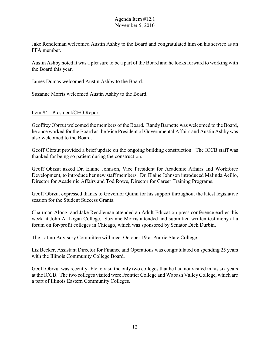Jake Rendleman welcomed Austin Ashby to the Board and congratulated him on his service as an FFA member.

Austin Ashby noted it was a pleasure to be a part of the Board and he looks forward to working with the Board this year.

James Dumas welcomed Austin Ashby to the Board.

Suzanne Morris welcomed Austin Ashby to the Board.

#### Item #4 - President/CEO Report

GeoffreyObrzut welcomed the members of the Board. Randy Barnette was welcomed to the Board, he once worked for the Board as the Vice President of Governmental Affairs and Austin Ashby was also welcomed to the Board.

Geoff Obrzut provided a brief update on the ongoing building construction. The ICCB staff was thanked for being so patient during the construction.

Geoff Obrzut asked Dr. Elaine Johnson, Vice President for Academic Affairs and Workforce Development, to introduce her new staff members. Dr. Elaine Johnson introduced Malinda Aeillo, Director for Academic Affairs and Tod Rowe, Director for Career Training Programs.

Geoff Obrzut expressed thanks to Governor Quinn for his support throughout the latest legislative session for the Student Success Grants.

Chairman Alongi and Jake Rendleman attended an Adult Education press conference earlier this week at John A. Logan College. Suzanne Morris attended and submitted written testimony at a forum on for-profit colleges in Chicago, which was sponsored by Senator Dick Durbin.

The Latino Advisory Committee will meet October 19 at Prairie State College.

Liz Becker, Assistant Director for Finance and Operations was congratulated on spending 25 years with the Illinois Community College Board.

Geoff Obrzut was recently able to visit the only two colleges that he had not visited in his six years at the ICCB. The two colleges visited were Frontier College and Wabash Valley College, which are a part of Illinois Eastern Community Colleges.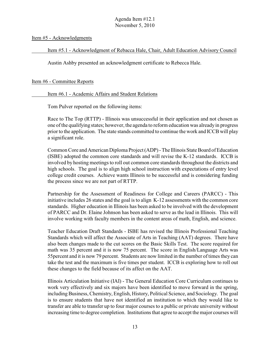Item #5 - Acknowledgments

Item #5.1 - Acknowledgment of Rebacca Hale, Chair, Adult Education Advisory Council

Austin Ashby presented an acknowledgment certificate to Rebecca Hale.

#### Item #6 - Committee Reports

Item #6.1 - Academic Affairs and Student Relations

Tom Pulver reported on the following items:

Race to The Top (RTTP) - Illinois was unsuccessful in their application and not chosen as one of the qualifying states; however, the agenda to reform education was already in progress prior to the application. The state stands committed to continue the work and ICCB will play a significant role.

Common Core and American Diploma Project (ADP) - The Illinois State Board of Education (ISBE) adopted the common core standards and will revise the K-12 standards. ICCB is involved by hosting meetings to roll out common core standards throughout the districts and high schools. The goal is to align high school instruction with expectations of entry level college credit courses. Achieve wants Illinois to be successful and is considering funding the process since we are not part of RTTP.

Partnership for the Assessment of Readiness for College and Careers (PARCC) - This initiative includes 26 states and the goal is to align K-12 assessments with the common core standards. Higher education in Illinois has been asked to be involved with the development of PARCC and Dr. Elaine Johnson has been asked to serve as the lead in Illinois. This will involve working with faculty members in the content areas of math, English, and science.

Teacher Education Draft Standards - ISBE has revised the Illinois Professional Teaching Standards which will affect the Associate of Arts in Teaching (AAT) degrees. There have also been changes made to the cut scores on the Basic Skills Test. The score required for math was 35 percent and it is now 75 percent. The score in English/Language Arts was 55percent and it is now 79 percent. Students are now limited in the number of times they can take the test and the maximum is five times per student. ICCB is exploring how to roll out these changes to the field because of its affect on the AAT.

Illinois Articulation Initiative (IAI) - The General Education Core Curriculum continues to work very effectively and six majors have been identified to move forward in the spring, including Business, Chemistry, English, History, Political Science, and Sociology. The goal is to ensure students that have not identified an institution to which they would like to transfer are able to transfer up to four major courses to a public or private university without increasing time to degree completion. Institutions that agree to accept the major courses will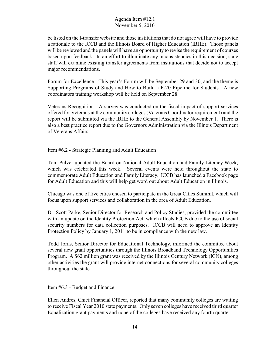be listed on the I-transfer website and those institutions that do not agree will have to provide a rationale to the ICCB and the Illinois Board of Higher Education (IBHE). Those panels will be reviewed and the panels will have an opportunity to revise the requirement of courses based upon feedback. In an effort to illuminate any inconsistencies in this decision, state staff will examine existing transfer agreements from institutions that decide not to accept major recommendations.

Forum for Excellence - This year's Forum will be September 29 and 30, and the theme is Supporting Programs of Study and How to Build a P-20 Pipeline for Students. A new coordinators training workshop will be held on September 28.

Veterans Recognition - A survey was conducted on the fiscal impact of support services offered for Veterans at the community colleges (Veterans Coordinator requirement) and the report will be submitted via the IBHE to the General Assembly by November 1. There is also a best practice report due to the Governors Administration via the Illinois Department of Veterans Affairs.

## Item #6.2 - Strategic Planning and Adult Education

Tom Pulver updated the Board on National Adult Education and Family Literacy Week, which was celebrated this week. Several events were held throughout the state to commemorate Adult Education and Family Literacy. ICCB has launched a Facebook page for Adult Education and this will help get word out about Adult Education in Illinois.

Chicago was one of five cities chosen to participate in the Great Cities Summit, which will focus upon support services and collaboration in the area of Adult Education.

Dr. Scott Parke, Senior Director for Research and Policy Studies, provided the committee with an update on the Identity Protection Act, which affects ICCB due to the use of social security numbers for data collection purposes. ICCB will need to approve an Identity Protection Policy by January 1, 2011 to be in compliance with the new law.

Todd Jorns, Senior Director for Educational Technology, informed the committee about several new grant opportunities through the Illinois Broadband Technology Opportunities Program. A \$62 million grant was received by the Illinois Century Network (ICN), among other activities the grant will provide internet connections for several community colleges throughout the state.

## Item #6.3 - Budget and Finance

Ellen Andres, Chief Financial Officer, reported that many community colleges are waiting to receive Fiscal Year 2010 state payments. Only seven colleges have received third quarter Equalization grant payments and none of the colleges have received any fourth quarter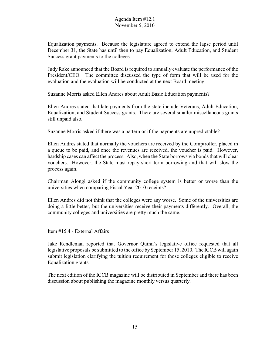Equalization payments. Because the legislature agreed to extend the lapse period until December 31, the State has until then to pay Equalization, Adult Education, and Student Success grant payments to the colleges.

Judy Rake announced that the Board is required to annually evaluate the performance of the President/CEO. The committee discussed the type of form that will be used for the evaluation and the evaluation will be conducted at the next Board meeting.

Suzanne Morris asked Ellen Andres about Adult Basic Education payments?

Ellen Andres stated that late payments from the state include Veterans, Adult Education, Equalization, and Student Success grants. There are several smaller miscellaneous grants still unpaid also.

Suzanne Morris asked if there was a pattern or if the payments are unpredictable?

Ellen Andres stated that normally the vouchers are received by the Comptroller, placed in a queue to be paid, and once the revenues are received, the voucher is paid. However, hardship cases can affect the process. Also, when the State borrows via bonds that will clear vouchers. However, the State must repay short term borrowing and that will slow the process again.

Chairman Alongi asked if the community college system is better or worse than the universities when comparing Fiscal Year 2010 receipts?

Ellen Andres did not think that the colleges were any worse. Some of the universities are doing a little better, but the universities receive their payments differently. Overall, the community colleges and universities are pretty much the same.

#### Item #15.4 - External Affairs

Jake Rendleman reported that Governor Quinn's legislative office requested that all legislative proposals be submitted to the office by September 15, 2010. The ICCB will again submit legislation clarifying the tuition requirement for those colleges eligible to receive Equalization grants.

The next edition of the ICCB magazine will be distributed in September and there has been discussion about publishing the magazine monthly versus quarterly.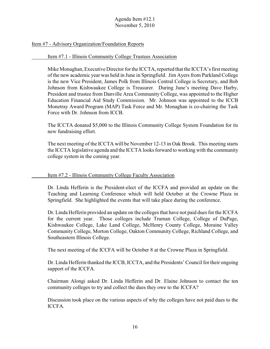#### Item #7 - Advisory Organization/Foundation Reports

#### Item #7.1 - Illinois Community College Trustees Association

Mike Monaghan, Executive Director for the ICCTA, reported that the ICCTA's first meeting of the new academic year was held in June in Springfield. Jim Ayers from Parkland College is the new Vice President, James Polk from Illinois Central College is Secretary, and Bob Johnson from Kishwaukee College is Treasurer. During June's meeting Dave Harby, President and trustee from Danville Area Community College, was appointed to the Higher Education Financial Aid Study Commission. Mr. Johnson was appointed to the ICCB Monetray Award Program (MAP) Task Force and Mr. Monaghan is co-chairing the Task Force with Dr. Johnson from ICCB.

The ICCTA donated \$5,000 to the Illinois Community College System Foundation for its new fundraising effort.

The next meeting of the ICCTA will be November 12-13 in Oak Brook. This meeting starts the ICCTA legislative agenda and the ICCTA looks forward to working with the community college system in the coming year.

#### Item #7.2 - Illinois Community College Faculty Association

Dr. Linda Hefferin is the President-elect of the ICCFA and provided an update on the Teaching and Learning Conference which will held October at the Crowne Plaza in Springfield. She highlighted the events that will take place during the conference.

Dr. Linda Hefferin provided an update on the colleges that have not paid dues for the ICCFA for the current year. Those colleges include Truman College, College of DuPage, Kishwaukee College, Lake Land College, McHenry County College, Moraine Valley Community College, Morton College, Oakton Community College, Richland College, and Southeastern Illinois College.

The next meeting of the ICCFA will be October 8 at the Crowne Plaza in Springfield.

Dr. Linda Hefferin thanked the ICCB, ICCTA, and the Presidents' Council for their ongoing support of the ICCFA.

Chairman Alongi asked Dr. Linda Hefferin and Dr. Elaine Johnson to contact the ten community colleges to try and collect the dues they owe to the ICCFA?

Discussion took place on the various aspects of why the colleges have not paid dues to the ICCFA.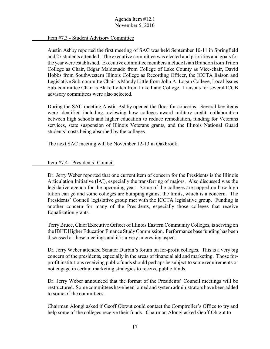#### Item #7.3 - Student Advisory Committee

Austin Ashby reported the first meeting of SAC was held September 10-11 in Springfield and 27 students attended. The executive committee was elected and priorities and goals for the year were established. Executive committee members include Isiah Brandon from Triton College as Chair, Edgar Maldonado from College of Lake County as Vice-chair, David Hobbs from Southwestern Illinois College as Recording Officer, the ICCTA liaison and Legislative Sub-committe Chair is Mandy Little from John A. Logan College, Local Issues Sub-committee Chair is Blake Leitch from Lake Land College. Liaisons for several ICCB advisory committees were also selected.

During the SAC meeting Austin Ashby opened the floor for concerns. Several key items were identified including reviewing how colleges award military credit, collaboration between high schools and higher education to reduce remediation, funding for Veterans services, state suspension of Illinois Veterans grants, and the Illinois National Guard students' costs being absorbed by the colleges.

The next SAC meeting will be November 12-13 in Oakbrook.

#### Item #7.4 - Presidents' Council

Dr. Jerry Weber reported that one current item of concern for the Presidents is the Illinois Articulation Initiative (IAI), especially the transferring of majors. Also discussed was the legislative agenda for the upcoming year. Some of the colleges are capped on how high tution can go and some colleges are bumping against the limits, which is a concern. The Presidents' Council legislative group met with the ICCTA legislative group. Funding is another concern for many of the Presidents, especially those colleges that receive Equalization grants.

Terry Bruce, Chief Executive Officer of Illinois Eastern Community Colleges, is serving on the IBHE Higher Education Finance Study Commission. Performance base funding has been discussed at these meetings and it is a very interesting aspect.

Dr. Jerry Weber attended Senator Durbin's forum on for-profit colleges. This is a very big concern of the presidents, especially in the areas of financial aid and marketing. Those forprofit institutions receiving public funds should perhaps be subject to some requirements or not engage in certain marketing strategies to receive public funds.

Dr. Jerry Weber announced that the format of the Presidents' Council meetings will be restructured. Some committees have been joined and system administrators have been added to some of the committees.

Chairman Alongi asked if Geoff Obrzut could contact the Comptroller's Office to try and help some of the colleges receive their funds. Chairman Alongi asked Geoff Obrzut to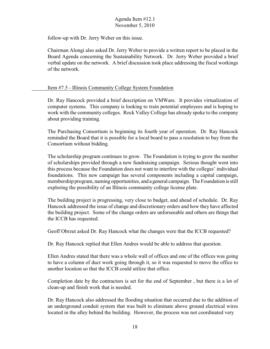follow-up with Dr. Jerry Weber on this issue.

Chairman Alongi also asked Dr. Jerry Weber to provide a written report to be placed in the Board Agenda concerning the Sustainability Network. Dr. Jerry Weber provided a brief verbal update on the network. A brief discussion took place addressing the fiscal workings of the network.

#### Item #7.5 - Illinois Community College System Foundation

Dr. Ray Hancock provided a brief description on VMWare. It provides virtualization of computer systems. This company is looking to train potential employees and is hoping to work with the community colleges. Rock Valley College has already spoke to the company about providing training.

The Purchasing Consortium is beginning its fourth year of operation. Dr. Ray Hancock reminded the Board that it is possible for a local board to pass a resolution to buy from the Consortium without bidding.

The scholarship program continues to grow. The Foundation is trying to grow the number of scholarships provided through a new fundraising campaign. Serious thought went into this process because the Foundation does not want to interfere with the colleges' individual foundations. This new campaign has several components including a capital campaign, membership program, naming opportunities, and a general campaign. The Foundation is still exploring the possibility of an Illinois community college license plate.

The building project is progressing, very close to budget, and ahead of schedule. Dr. Ray Hancock addressed the issue of change and discretionary orders and how they have affected the building project. Some of the change orders are unforseeable and others are things that the ICCB has requested.

Geoff Obrzut asked Dr. Ray Hancock what the changes were that the ICCB requested?

Dr. Ray Hancock replied that Ellen Andres would be able to address that question.

Ellen Andres stated that there was a whole wall of offices and one of the offices was going to have a column of duct work going through it, so it was requested to move the office to another location so that the ICCB could utilize that office.

Completion date by the contractors is set for the end of September , but there is a lot of clean-up and finish work that is needed.

Dr. Ray Hancock also addressed the flooding situation that occurred due to the addition of an underground conduit system that was built to eliminate above ground electrical wires located in the alley behind the building. However, the process was not coordinated very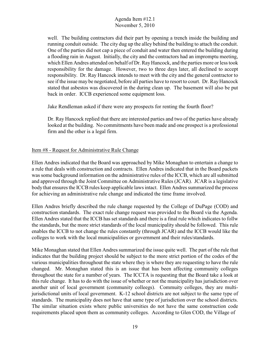well. The building contractors did their part by opening a trench inside the building and running conduit outside. The city dug up the alley behind the building to attach the conduit. One of the parties did not cap a piece of conduit and water then entered the building during a flooding rain in August. Initially, the city and the contractors had an impromptu meeting, which Ellen Andres attended on behalf of Dr. Ray Hancock, and the parties more or less took responsibility for the damage. However, two to three days later, all declined to accept responsibility. Dr. Ray Hancock intends to meet with the city and the general contractor to see if the issue may be negotiated, before all parties have to resort to court. Dr. Ray Hancock stated that asbestos was discovered in the during clean up. The basement will also be put back in order. ICCB experienced some equipment loss.

Jake Rendleman asked if there were any prospects for renting the fourth floor?

Dr. Ray Hancock replied that there are interested parties and two of the parties have already looked at the building. No commitments have been made and one prospect is a professional firm and the other is a legal firm.

## Item #8 - Request for Administrative Rule Change

Ellen Andres indicated that the Board was approached by Mike Monaghan to entertain a change to a rule that deals with construction and contracts. Ellen Andres indicated that in the Board packets was some background information on the administrative rules of the ICCB, which are all submitted and approved through the Joint Committee on Administrative Rules (JCAR). JCAR is a legislative body that ensures the ICCB rules keep applicable laws intact. Ellen Andres summarized the process for achieving an administrative rule change and indicated the time frame involved.

Ellen Andres briefly described the rule change requested by the College of DuPage (COD) and construction standards. The exact rule change request was provided to the Board via the Agenda. Ellen Andres stated that the ICCB has set standards and there is a final rule which indicates to follw the standards, but the more strict standards of the local municipality should be followed. This rule enables the ICCB to not change the rules constantly (through JCAR) and the ICCB would like the colleges to work with the local municipalities or government and their rules/standards.

Mike Monaghan stated that Ellen Andres summarized the issue quite well. The part of the rule that indicates that the building project should be subject to the more strict portion of the codes of the various municipalities throughout the state where they is where they are requesting to have the rule changed. Mr. Monaghan stated this is an issue that has been affecting community colleges throughout the state for a number of years. The ICCTA is requesting that the Board take a look at this rule change. It has to do with the issue of whether or not the municipality has jurisdiction over another unit of local government (community colleegs). Commuity colleges, they are multijurisdictional units of local government. K-12 school districts are not subject to the same type of standards. The municipality does not have that same type of jurisdiction over the school districts. The similar situation exists where public universities do not have the same construction code requirements placed upon them as community colleges. According to Glen COD, the Village of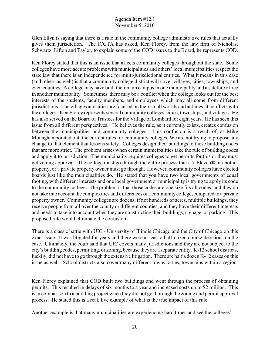Glen Ellyn is saying that there is a rule in the community college administrative rules that actually gives them jurisdiction. The ICCTA has asked, Ken Florey, from the law firm of Nicholas, Schwartz, Lifton and Taylor, to explain some of the COD issues to the Board, he represents COD.

Ken Florey stated that this is an issue that affects community colleges throughout the state. Some colleges have more accute problems with municipalities and others' local municipalities respect the state law that there is an independence for multi-jurisdictional entities. What it means in this case (and others as well) is that a community college district will cover villages, cities, townships, and even counties. A college may have built their main campus in one municipality and a satellite office in another municipality. Sometimes there may be a conflict when the college looks out for the best interests of the students, faculty members, and employees which may all come from different jurisdictions. The villages and cities are focused on their small worlds and at times, it conflicts with the colleges. Ken Florey represents several community colleges, cities, townships, and villages. He has also served on the Board of Trustees for the Village of Lombard for eight years. He has seen this issue from all different perspectives. He believes the rule, as it currently exists, creates confusion between the municipalities and community colleges. This confusion is a result of, as Mike Monaghan pointed out, the current rules for community colleges. We are not trying to propose any change to that element that lessens safety. Colleges design their buildings to those building codes that are more strict. The problem arises when certain municipalities take the rule of building codes and apply it to jurisdiction. The municipality requires colleges to get permits for this or they must get zoning approval. The college must go through the entire process that a 7-Eleven® or another property, or a private property owner must go through. However, community colleges have elected boards just like the municipalities do. He stated that you have two local governments of equal footing, with different interests and one local government or municipality is trying to apply its code to the community college. The problem is that those codes are one size fits all codes, and they do not take into account the complexities and differences of a communitycollege, compared to a private property owner. Community colleges are dozens, if not hundreds of acres, multiple buildings, they receive people from all over the county or different counties, and they have their different interests and needs to take into account when they are constructing their buildings, signage, or parking. This proposed rule would eliminate the confusion.

There is a classic battle with UIC - University of Illinois Chicago and the City of Chicago on this exact issue. It was litigated for years and there were at least a half-dozen course decisions on the case. Ultimately, the court said that UIC covers many jurisdictions and they are not subject to the city's building codes, permitting, or zoning, because they are a separate entity. K-12 school districts, luckily, did not have to go through the extensive litigation. There are half a dozen K-12 cases on this issue as well. School districts also cover many different towns, cities, townships within a region.

Ken Florey explained that COD built two buildings and went through the process of obtaining permits. This resulted in delays of six months to a year and increased costs up to \$2 million. This is in comparison to a building project when they did not go thorough the zoning and permit approval process. He stated this is a real, live example of what is the true impact of this rule.

Another example is that many municipalities are experiencing hard times and see the colleges'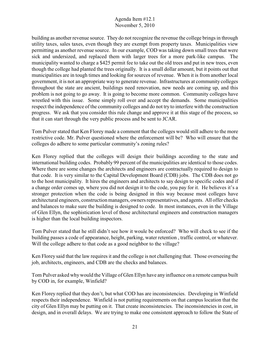building as another revenue source. They do not recognize the revenue the college brings in through utility taxes, sales taxes, even though they are exempt from property taxes. Municipalities view permitting as another revenue source. In our example, COD was taking down small trees that were sick and undersized, and replaced them with larger trees for a more park-like campus. The municipality wanted to charge a \$425 permit fee to take out the old trees and put in new trees, even though the college had planted the trees originally. It is a small dollar amount, but it points out that municipalities are in tough times and looking for sources of revenue. When it is from another local government, it is not an appropriate way to generate revenue. Infrastructures at community colleges throughout the state are ancient, buildings need renovation, new needs are coming up, and this problem is not going to go away. It is going to become more common. Community colleges have wrestled with this issue. Some simply roll over and accept the demands. Some municipalities respect the independence of the community colleges and do not try to interfere with the construction progress. We ask that you consider this rule change and approve it at this stage of the process, so that it can start through the very public process and be sent to JCAR.

Tom Pulver stated that Ken Florey made a comment that the colleges would still adhere to the more restrictive code. Mr. Pulver questioned where the enforcement will be? Who will ensure that the colleges do adhere to some particular community's zoning rules?

Ken Florey replied that the colleges will design their buildings according to the state and international building codes. Probably 99 percent of the municipalities are identical to those codes. Where there are some changes the architects and engineers are contractually required to design to that code. It is very similar to the Capital Development Board (CDB) jobs. The CDB does not go to the host municipality. It hires the engineers and architects to say design to specific codes and if a change order comes up, where you did not design it to the code, you pay for it. He believes it's a stronger protection when the code is being designed in this way because most colleges have architectural engineers, construction managers, owners representatives, and agents. All offer checks and balances to make sure the building is designed to code. In most instances, even in the Village of Glen Ellyn, the sophistication level of those architectural engineers and construction managers is higher than the local building inspectors.

Tom Pulver stated that he still didn't see how it woule be enforced? Who will check to see if the building passes a code of appearance, height, parking, water retention , traffic control, or whatever. Will the college adhere to that code as a good neighbor to the village?

Ken Florey said that the law requires it and the college is not challenging that. Those overseeing the job, architects, engineers, and CDB are the checks and balances.

Tom Pulver asked why would the Village of Glen Ellyn have any influence on a remote campus built by COD in, for example, Winfield?

Ken Florey replied that they don't, but what COD has are inconsistencies. Developing in Winfield respects their independence. Winfield is not putting requirements on that campus location that the city of Glen Ellyn may be putting on it. That create inconsistencies. The inconsistencies in cost, in design, and in overall delays. We are trying to make one consistent approach to follow the State of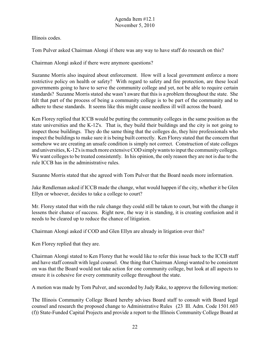Illinois codes.

Tom Pulver asked Chairman Alongi if there was any way to have staff do research on this?

Chairman Alongi asked if there were anymore questions?

Suzanne Morris also inquired about enforcement. How will a local government enforce a more restrictive policy on health or safety? With regard to safety and fire protection, are these local governments going to have to serve the community college and yet, not be able to require certain standards? Suzanne Morris stated she wasn't aware that this is a problem throughout the state. She felt that part of the process of being a community college is to be part of the community and to adhere to these standards. It seems like this might cause needless ill will across the board.

Ken Florey replied that ICCB would be putting the community colleges in the same position as the state universities and the K-12's. That is, they build their buildings and the city is not going to inspect those buildings. They do the same thing that the colleges do, they hire professionals who inspect the buildings to make sure it is being built correctly. Ken Florey stated that the concern that somehow we are creating an unsafe condition is simply not correct. Construction of state colleges and universities, K-12's is much more extensive COD simply wants to input the community colleges. We want colleges to be treated consistently. In his opinion, the only reason they are not is due to the rule ICCB has in the administrative rules.

Suzanne Morris stated that she agreed with Tom Pulver that the Board needs more information.

Jake Rendleman asked if ICCB made the change, what would happen if the city, whether it be Glen Ellyn or whoever, decides to take a college to court?

Mr. Florey stated that with the rule change they could still be taken to court, but with the change it lessens their chance of success. Right now, the way it is standing, it is creating confusion and it needs to be cleared up to reduce the chance of litigation.

Chairman Alongi asked if COD and Glen Ellyn are already in litigation over this?

Ken Florey replied that they are.

Chairman Alongi stated to Ken Florey that he would like to refer this issue back to the ICCB staff and have staff consult with legal counsel. One thing that Chairman Alongi wanted to be consistent on was that the Board would not take action for one community college, but look at all aspects to ensure it is cohesive for every community college throughout the state.

A motion was made by Tom Pulver, and seconded by Judy Rake, to approve the following motion:

The Illinois Community College Board hereby advises Board staff to consult with Board legal counsel and research the proposed change to Administrative Rules (23 Ill. Adm. Code 1501.603 (f)) State-Funded Capital Projects and provide a report to the Illinois Community College Board at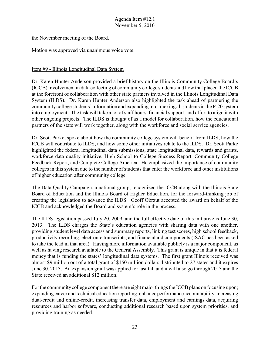the November meeting of the Board.

Motion was approved via unanimous voice vote.

#### Item #9 - Illinois Longitudinal Data System

Dr. Karen Hunter Anderson provided a brief history on the Illinois Community College Board's (ICCB) involvement in data collecting of community college students and how that placed the ICCB at the forefront of collaboration with other state partners involved in the Illinois Longitudinal Data System (ILDS). Dr. Karen Hunter Anderson also highlighted the task ahead of partnering the community college students' information and expanding into tracking all students in the P-20 system into employment. The task will take a lot of staff hours, financial support, and effort to align it with other ongoing projects. The ILDS is thought of as a model for collaboration, how the educational partners of the state will work together, along with the workforce and social service agencies.

Dr. Scott Parke, spoke about how the community college system will benefit from ILDS, how the ICCB will contribute to ILDS, and how some other initiatives relate to the ILDS. Dr. Scott Parke highlighted the federal longitudinal data submissions, state longitudinal data, rewards and grants, workforce data quality initiative, High School to College Success Report, Community College Feedback Report, and Complete College America. He emphasized the importance of community colleges in this system due to the number of students that enter the workforce and other institutions of higher education after community college.

The Data Quality Campaign, a national group, recognized the ICCB along with the Illinois State Board of Education and the Illinois Board of Higher Education, for the forward-thinking job of creating the legislation to advance the ILDS. Geoff Obrzut accepted the award on behalf of the ICCB and acknowledged the Board and system's role in the process.

The ILDS legislation passed July 20, 2009, and the full effective date of this initiative is June 30, 2013. The ILDS charges the State's education agencies with sharing data with one another, providing student level data access and summary reports, linking test scores, high school feedback, productivity recording, electronic transcripts, and financial aid components (ISAC has been asked to take the lead in that area). Having more information available publicly is a major component, as well as having research available to the General Assembly. This grant is unique in that it is federal money that is funding the states' longitudinal data systems. The first grant Illinois received was almost \$9 million out of a total grant of \$150 million dollars distributed to 27 states and it expires June 30, 2013. An expansion grant was applied for last fall and it will also go through 2013 and the State received an additional \$12 million.

For the community college component there are eight major things the ICCB plans on focusing upon; expanding career and technical education reporting, enhance performance accountability, increasing dual-credit and online-credit, increasing transfer data, employment and earnings data, acquiring resources and harbor software, conducting additional research based upon system priorities, and providing training as needed.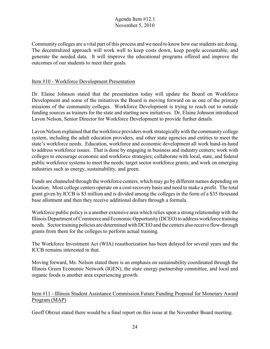Community colleges are a vital part of this process and we need to know how our students are doing. The decentralized approach will work well to keep costs down, keep people accountable, and generate the needed data. It will improve the educational programs offered and improve the outcomes of our students to meet their goals.

## Item #10 - Workforce Development Presentation

Dr. Elaine Johnson stated that the presentation today will update the Board on Workforce Development and some of the initiatives the Board is moving forward on as one of the primary missions of the community colleges. Workforce Development is trying to reach out to outside funding sources as trainers for the state and starting new initiatives. Dr. Elaine Johnson introduced Lavon Nelson, Senior Director for Workforce Development to provide further details.

Lavon Nelson explained that the workforce providers work strategicallywith the community college system, including the adult education providers, and other state agencies and entities to meet the state's workforce needs. Education, workforce and economic development all work hand-in-hand to address workforce issues. That is done by engaging in business and industry centers; work with colleges to encourage economic and workforce strategies; collaborate with local, state, and federal public workforce systems to meet the needs; target sector workforce grants; and work on emerging industries such as energy, sustainability, and green.

Funds are channeled through the workforce centers, which may go by different names depending on location. Most college centers operate on a cost-recovery basis and need to make a profit. The total grant given by ICCB is \$3 million and is divided among the colleges in the form of a \$35 thousand base allotment and then they receive additional dollars through a formula.

Workforce public policy is a another extensive area which relies upon a strong relationship with the Illinois Department of Commerce and Economic Opportunity (DCEO) to address workforce training needs. Sector training policies are determined with DCEO and the centers also receive flow-through grants from them for the colleges to perform actual training.

The Workforce Investment Act (WIA) reauthorization has been delayed for several years and the ICCB remains interested in that.

Moving forward, Ms. Nelson stated there is an emphasis on sustainability coordinated through the Illinois Green Economic Network (IGEN), the state energy partnership committee, and local and organic foods is another area experiencing growth.

Item #11 - Illinois Student Assistance Commission Future Funding Proposal for Monetary Award Program (MAP)

Geoff Obrzut stated there would be a final report on this issue at the November Board meeting.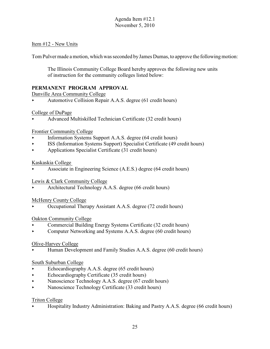## Item #12 - New Units

Tom Pulver made a motion, which was seconded by James Dumas, to approve the following motion:

The Illinois Community College Board hereby approves the following new units of instruction for the community colleges listed below:

# **PERMANENT PROGRAM APPROVAL**

Danville Area Community College

Automotive Collision Repair A.A.S. degree (61 credit hours)

# College of DuPage

< Advanced Multiskilled Technician Certificate (32 credit hours)

# Frontier Community College

- **Example 3** Information Systems Support A.A.S. degree (64 credit hours)
- < ISS (Information Systems Support) Specialist Certificate (49 credit hours)
- $\blacktriangleright$  Applications Specialist Certificate (31 credit hours)

# Kaskaskia College

Associate in Engineering Science (A.E.S.) degree (64 credit hours)

# Lewis & Clark Community College

< Architectural Technology A.A.S. degree (66 credit hours)

# McHenry County College

< Occupational Therapy Assistant A.A.S. degree (72 credit hours)

# Oakton Community College

- < Commercial Building Energy Systems Certificate (32 credit hours)
- Computer Networking and Systems A.A.S. degree (60 credit hours)

# Olive-Harvey College

< Human Development and Family Studies A.A.S. degree (60 credit hours)

# South Suburban College

- $\blacktriangleright$  Echocardiography A.A.S. degree (65 credit hours)
- $\blacktriangleright$  Echocardiography Certificate (35 credit hours)
- Nanoscience Technology A.A.S. degree (67 credit hours)
- Nanoscience Technology Certificate (33 credit hours)

# Triton College

< Hospitality Industry Administration: Baking and Pastry A.A.S. degree (66 credit hours)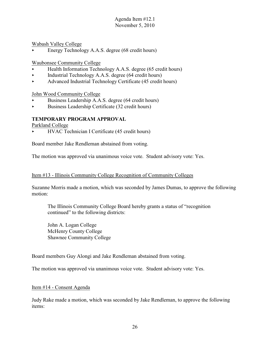Wabash Valley College

< Energy Technology A.A.S. degree (68 credit hours)

Waubonsee Community College

- < Health Information Technology A.A.S. degree (65 credit hours)
- $\blacktriangleright$  Industrial Technology A.A.S. degree (64 credit hours)
- < Advanced Industrial Technology Certificate (45 credit hours)

John Wood Community College

- Business Leadership A.A.S. degree (64 credit hours)
- $\blacktriangleright$  Business Leadership Certificate (32 credit hours)

# **TEMPORARY PROGRAM APPROVAL**

Parkland College

< HVAC Technician I Certificate (45 credit hours)

Board member Jake Rendleman abstained from voting.

The motion was approved via unanimous voice vote. Student advisory vote: Yes.

#### Item #13 - Illinois Community College Recognition of Community Colleges

Suzanne Morris made a motion, which was seconded by James Dumas, to approve the following motion:

The Illinois Community College Board hereby grants a status of "recognition continued" to the following districts:

John A. Logan College McHenry County College Shawnee Community College

Board members Guy Alongi and Jake Rendleman abstained from voting.

The motion was approved via unanimous voice vote. Student advisory vote: Yes.

#### Item #14 - Consent Agenda

Judy Rake made a motion, which was seconded by Jake Rendleman, to approve the following items: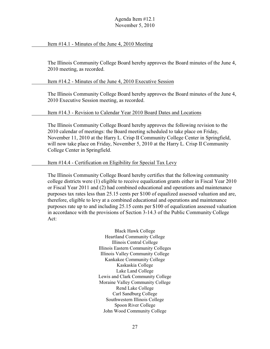#### Item #14.1 - Minutes of the June 4, 2010 Meeting

The Illinois Community College Board hereby approves the Board minutes of the June 4, 2010 meeting, as recorded.

Item #14.2 - Minutes of the June 4, 2010 Executive Session

The Illinois Community College Board hereby approves the Board minutes of the June 4, 2010 Executive Session meeting, as recorded.

#### Item #14.3 - Revision to Calendar Year 2010 Board Dates and Locations

The Illinois Community College Board hereby approves the following revision to the 2010 calendar of meetings: the Board meeting scheduled to take place on Friday, November 11, 2010 at the Harry L. Crisp II Community College Center in Springfield, will now take place on Friday, November 5, 2010 at the Harry L. Crisp II Community College Center in Springfield.

#### Item #14.4 - Certification on Eligibility for Special Tax Levy

The Illinois Community College Board hereby certifies that the following community college districts were (1) eligible to receive equalization grants either in Fiscal Year 2010 or Fiscal Year 2011 and (2) had combined educational and operations and maintenance purposes tax rates less than 25.15 cents per \$100 of equalized assessed valuation and are, therefore, eligible to levy at a combined educational and operations and maintenance purposes rate up to and including 25.15 cents per \$100 of equalization assessed valuation in accordance with the provisions of Section 3-14.3 of the Public Community College Act:

> Black Hawk College Heartland Community College Illinois Central College Illinois Eastern Community Colleges Illinois Valley Community College Kankakee Community College Kaskaskia College Lake Land College Lewis and Clark Community College Moraine Valley Community College Rend Lake College Carl Sandburg College Southwestern Illinois College Spoon River College John Wood Community College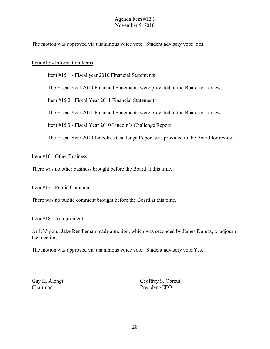The motion was approved via unanimous voice vote. Student advisory vote: Yes.

#### Item #15 - Information Items

#### Item #15.1 - Fiscal year 2010 Financial Statements

The Fiscal Year 2010 Financial Statements were provided to the Board for review.

Item #15.2 - Fiscal Year 2011 Financial Statements

The Fiscal Year 2011 Financial Statements were provided to the Board for review.

Item #15.3 - Fiscal Year 2010 Lincoln's Challenge Report

The Fiscal Year 2010 Lincoln's Challenge Report was provided to the Board for review.

#### Item #16 - Other Business

There was no other business brought before the Board at this time.

#### Item #17 - Public Comment

There was no public comment brought before the Board at this time.

#### Item #18 - Adjournment

At 1:35 p.m., Jake Rendleman made a motion, which was seconded by James Dumas, to adjourn the meeting.

The motion was approved via unanimous voice vote. Student advisory vote:Yes.

Guy H. Alongi Geoffrey S. Obrzut Chairman President/CEO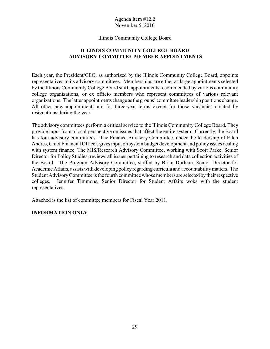#### Illinois Community College Board

# **ILLINOIS COMMUNITY COLLEGE BOARD ADVISORY COMMITTEE MEMBER APPOINTMENTS**

Each year, the President/CEO, as authorized by the Illinois Community College Board, appoints representatives to its advisory committees. Memberships are either at-large appointments selected by the Illinois Community College Board staff, appointments recommended by various community college organizations, or ex officio members who represent committees of various relevant organizations. The latter appointments change as the groups' committee leadership positions change. All other new appointments are for three-year terms except for those vacancies created by resignations during the year.

The advisory committees perform a critical service to the Illinois Community College Board. They provide input from a local perspective on issues that affect the entire system. Currently, the Board has four advisory committees. The Finance Advisory Committee, under the leadership of Ellen Andres, Chief Financial Officer, gives input on system budget development and policy issues dealing with system finance. The MIS/Research Advisory Committee, working with Scott Parke, Senior Director for Policy Studies, reviews all issues pertaining to research and data collection activities of the Board. The Program Advisory Committee, staffed by Brian Durham, Senior Director for Academic Affairs, assists with developing policy regarding curricula and accountability matters. The Student Advisory Committee is the fourth committee whose members are selected by their respective colleges. Jennifer Timmons, Senior Director for Student Affairs woks with the student representatives.

Attached is the list of committee members for Fiscal Year 2011.

## **INFORMATION ONLY**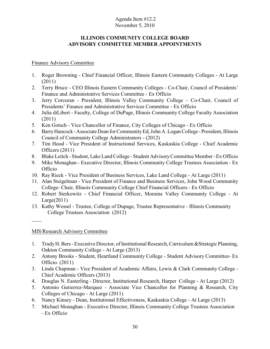### **ILLINOIS COMMUNITY COLLEGE BOARD ADVISORY COMMITTEE MEMBER APPOINTMENTS**

## Finance Advisory Committee

- 1. Roger Browning Chief Financial Officer, Illinois Eastern Community Colleges At Large (2011)
- 2. Terry Bruce CEO Illinois Eastern Community Colleges Co-Chair, Council of Presidents' Finance and Administrative Services Committee - Ex Officio
- 3. Jerry Corcoran President, Illinois Valley Community College Co-Chair, Council of Presidents' Finance and Administrative Services Committee - Ex Officio
- 4. Julia diLibert Faculty, College of DuPage, Illinois Community College Faculty Association (2011)
- 5. Ken Gotsch Vice Chancellor of Finance, City Colleges of Chicago Ex Officio
- 6. Barry Hancock Associate Dean forCommunityEd, John A. Logan College President, Illinois Council of Community College Administrators - (2012)
- 7. Tim Hood Vice President of Instructional Services, Kaskaskia College Chief Academic Officers (2011)
- 8. Blake Leitch Student, Lake Land College Student Advisory Committee Member Ex Officio
- 9. Mike Monaghan Executive Director, Illinois Community College Trustees Association Ex Officio
- 10. Ray Rieck Vice President of Business Services, Lake Land College At Large (2011)
- 11. Alan Steigelman Vice President of Finance and Business Services, John Wood Community College- Chair, Illinois Community College Chief Financial Officers - Ex Officio
- 12. Robert Sterkowitz Chief Financial Officer, Moraine Valley Community College At  $Large(2011)$
- 13. Kathy Wessel Trustee, College of Dupage, Trustee Representative Illinois Community College Trustees Association (2012)

MIS/Research Advisory Committee

- 1. Trudy H. Bers Executive Director, of Institutional Research, Curriculum &Strategic Planning, Oakton Community College - At Large (2013)
- 2. Antony Brooks Student, Heartland Community College Student Advisory Committee- Ex Officio. (2011)
- 3. Linda Chapman Vice President of Academic Affairs, Lewis & Clark Community College Chief Academic Officers (2013)
- 4. Douglas N. Easterling Director, Institutional Research, Harper College At Large (2012)
- 5. Antonio Gutierrez-Marquez Associate Vice Chancellor for Planning & Research, City Colleges of Chicago - At Large (2011)
- 6. Nancy Kinsey Dean, Institutional Effectiveness, Kaskaskia College At Large (2013)
- 7. Michael Monaghan Executive Director, Illinois Community College Trustees Association - Ex Officio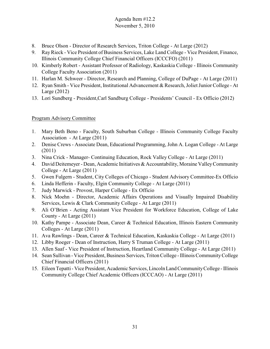- 8. Bruce Olson Director of Research Services, Triton College At Large (2012)
- 9. RayRieck Vice President of Business Services, Lake Land College Vice President, Finance, Illinois Community College Chief Financial Officers (ICCCFO) (2011)
- 10. Kimberly Robert Assistant Professor of Radiology, Kaskaskia College Illinois Community College Faculty Association (2011)
- 11. Harlan M. Schweer Director, Research and Planning, College of DuPage At Large (2011)
- 12. Ryan Smith Vice President, Institutional Advancement & Research, Joliet Junior College At Large (2012)
- 13. Lori Sundberg President,Carl Sandburg College Presidents' Council Ex Officio (2012)

# Program Advisory Committee

- 1. Mary Beth Beno Faculty, South Suburban College Illinois Community College Faculty Association - At Large (2011)
- 2. Denise Crews Associate Dean, Educational Programming, John A. Logan College At Large (2011)
- 3. Nina Crick Manager- Continuing Education, Rock Valley College At Large (2011)
- 4. David Deitemeyer Dean, Academic Initiatives & Accountability, Moraine Valley Community College - At Large (2011)
- 5. Gwen Fulgern Student, City Colleges of Chicago Student Advisory Committee-Ex Officio
- 6. Linda Hefferin Faculty, Elgin Community College At Large (2011)
- 7. Judy Marwick Provost, Harper College Ex Officio
- 8. Nick Moehn Director, Academic Affairs Operations and Visually Impaired Disability Services, Lewis & Clark Community College - At Large (2011)
- 9. Ali O'Brien Acting Assistant Vice President for Workforce Education, College of Lake County - At Large (2011)
- 10. Kathy Pampe Associate Dean, Career & Technical Education, Illinois Eastern Community Colleges - At Large (2011)
- 11. Ava Rawlings Dean, Career & Technical Education, Kaskaskia College At Large (2011)
- 12. Libby Roeger Dean of Instruction, Harry S Truman College At Large (2011)
- 13. Allen Saaf Vice President of Instruction, Heartland Community College At Large (2011)
- 14. Sean Sullivan Vice President, Business Services, Triton College Illinois Community College Chief Financial Officers (2011)
- 15. Eileen Tepatti Vice President, Academic Services, Lincoln Land Community College Illinois Community College Chief Academic Officers (ICCCAO) - At Large (2011)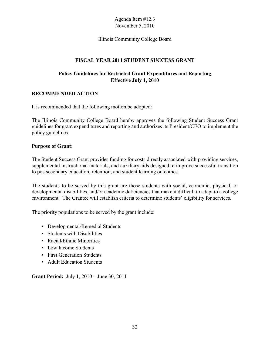#### Illinois Community College Board

# **FISCAL YEAR 2011 STUDENT SUCCESS GRANT**

# **Policy Guidelines for Restricted Grant Expenditures and Reporting Effective July 1, 2010**

## **RECOMMENDED ACTION**

It is recommended that the following motion be adopted:

The Illinois Community College Board hereby approves the following Student Success Grant guidelines for grant expenditures and reporting and authorizes its President/CEO to implement the policy guidelines.

#### **Purpose of Grant:**

The Student Success Grant provides funding for costs directly associated with providing services, supplemental instructional materials, and auxiliary aids designed to improve successful transition to postsecondary education, retention, and student learning outcomes.

The students to be served by this grant are those students with social, economic, physical, or developmental disabilities, and/or academic deficiencies that make it difficult to adapt to a college environment. The Grantee will establish criteria to determine students' eligibility for services.

The priority populations to be served by the grant include:

- Developmental/Remedial Students
- Students with Disabilities
- Racial/Ethnic Minorities
- Low Income Students
- First Generation Students
- Adult Education Students

**Grant Period:** July 1, 2010 – June 30, 2011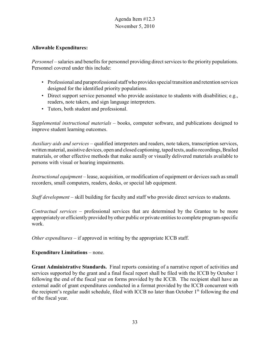#### **Allowable Expenditures:**

*Personnel* – salaries and benefits for personnel providing direct services to the priority populations. Personnel covered under this include:

- Professional and paraprofessional staff who provides special transition and retention services designed for the identified priority populations.
- Direct support service personnel who provide assistance to students with disabilities; e.g., readers, note takers, and sign language interpreters.
- Tutors, both student and professional.

*Supplemental instructional materials* – books, computer software, and publications designed to improve student learning outcomes.

*Auxiliary aids and services* – qualified interpreters and readers, note takers, transcription services, written material, assistive devices, open and closed captioning, taped texts, audio recordings, Brailed materials, or other effective methods that make aurally or visually delivered materials available to persons with visual or hearing impairments.

*Instructional equipment* – lease, acquisition, or modification of equipment or devices such as small recorders, small computers, readers, desks, or special lab equipment.

*Staff development* – skill building for faculty and staff who provide direct services to students.

*Contractual services* – professional services that are determined by the Grantee to be more appropriately or efficiently provided by other public or private entities to complete program-specific work.

*Other expenditures* – if approved in writing by the appropriate ICCB staff.

## **Expenditure Limitations** – none.

**Grant Administrative Standards.** Final reports consisting of a narrative report of activities and services supported by the grant and a final fiscal report shall be filed with the ICCB by October 1 following the end of the fiscal year on forms provided by the ICCB. The recipient shall have an external audit of grant expenditures conducted in a format provided by the ICCB concurrent with the recipient's regular audit schedule, filed with ICCB no later than October  $1<sup>th</sup>$  following the end of the fiscal year.